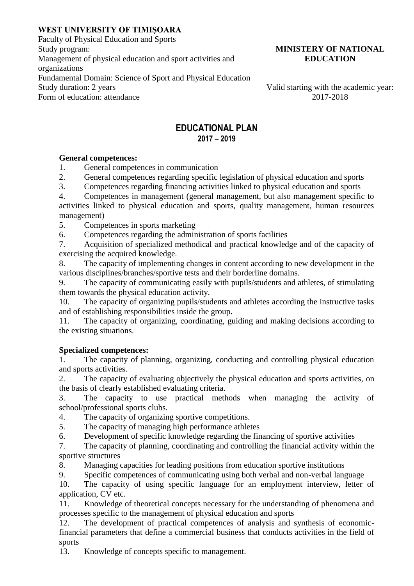# **WEST UNIVERSITY OF TIMIȘOARA**

Faculty of Physical Education and Sports Study program: Management of physical education and sport activities and organizations Fundamental Domain: Science of Sport and Physical Education Study duration: 2 years Valid starting with the academic year:<br>Form of education: attendance 2017-2018 Form of education: attendance

### **MINISTERY OF NATIONAL EDUCATION**

## **EDUCATIONAL PLAN 2017 – 2019**

## **General competences:**

1. General competences in communication

2. General competences regarding specific legislation of physical education and sports

3. Competences regarding financing activities linked to physical education and sports

4. Competences in management (general management, but also management specific to activities linked to physical education and sports, quality management, human resources management)

5. Competences in sports marketing

6. Competences regarding the administration of sports facilities

7. Acquisition of specialized methodical and practical knowledge and of the capacity of exercising the acquired knowledge.

8. The capacity of implementing changes in content according to new development in the various disciplines/branches/sportive tests and their borderline domains.

9. The capacity of communicating easily with pupils/students and athletes, of stimulating them towards the physical education activity.

10. The capacity of organizing pupils/students and athletes according the instructive tasks and of establishing responsibilities inside the group.

11. The capacity of organizing, coordinating, guiding and making decisions according to the existing situations.

# **Specialized competences:**

1. The capacity of planning, organizing, conducting and controlling physical education and sports activities.

2. The capacity of evaluating objectively the physical education and sports activities, on the basis of clearly established evaluating criteria.

3. The capacity to use practical methods when managing the activity of school/professional sports clubs.

4. The capacity of organizing sportive competitions.

5. The capacity of managing high performance athletes

6. Development of specific knowledge regarding the financing of sportive activities

7. The capacity of planning, coordinating and controlling the financial activity within the sportive structures

8. Managing capacities for leading positions from education sportive institutions

9. Specific competences of communicating using both verbal and non-verbal language

10. The capacity of using specific language for an employment interview, letter of application, CV etc.

11. Knowledge of theoretical concepts necessary for the understanding of phenomena and processes specific to the management of physical education and sports

12. The development of practical competences of analysis and synthesis of economicfinancial parameters that define a commercial business that conducts activities in the field of sports

13. Knowledge of concepts specific to management.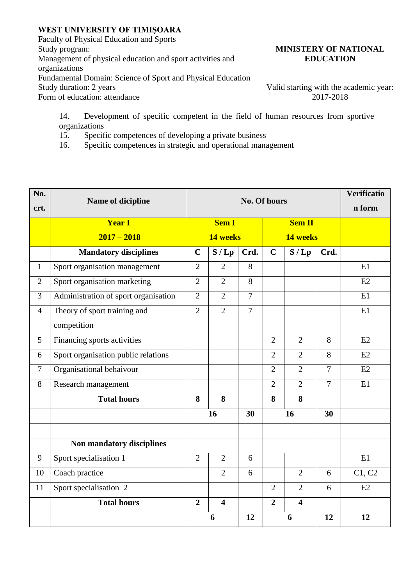## **WEST UNIVERSITY OF TIMIȘOARA**

Faculty of Physical Education and Sports Study program: Management of physical education and sport activities and organizations Fundamental Domain: Science of Sport and Physical Education Study duration: 2 years Valid starting with the academic year:<br>Form of education: attendance 2017-2018 Form of education: attendance

### **MINISTERY OF NATIONAL EDUCATION**

14. Development of specific competent in the field of human resources from sportive organizations

15. Specific competences of developing a private business

16. Specific competences in strategic and operational management

| No.            | No. Of hours<br>Name of dicipline    |                |                         |                |                |                         |                | <b>Verificatio</b> |
|----------------|--------------------------------------|----------------|-------------------------|----------------|----------------|-------------------------|----------------|--------------------|
| crt.           |                                      |                |                         |                |                |                         |                | n form             |
|                | <b>Year I</b>                        | <b>Sem I</b>   |                         |                | <b>Sem II</b>  |                         |                |                    |
|                | $2017 - 2018$                        | 14 weeks       |                         |                | 14 weeks       |                         |                |                    |
|                | <b>Mandatory disciplines</b>         | $\mathbf C$    | S/Lp                    | Crd.           | $\mathbf C$    | S/Lp                    | Crd.           |                    |
| $\mathbf{1}$   | Sport organisation management        | $\overline{2}$ | $\overline{2}$          | 8              |                |                         |                | E1                 |
| $\overline{2}$ | Sport organisation marketing         | $\overline{2}$ | $\overline{2}$          | 8              |                |                         |                | E2                 |
| 3              | Administration of sport organisation | $\overline{2}$ | $\overline{2}$          | $\overline{7}$ |                |                         |                | E1                 |
| $\overline{4}$ | Theory of sport training and         | $\overline{2}$ | $\overline{2}$          | $\overline{7}$ |                |                         |                | E1                 |
|                | competition                          |                |                         |                |                |                         |                |                    |
| 5              | Financing sports activities          |                |                         |                | $\overline{2}$ | $\overline{2}$          | 8              | E2                 |
| 6              | Sport organisation public relations  |                |                         |                | $\overline{2}$ | $\overline{2}$          | 8              | E2                 |
| $\overline{7}$ | Organisational behaivour             |                |                         |                | $\overline{2}$ | $\overline{2}$          | $\overline{7}$ | E2                 |
| 8              | Research management                  |                |                         |                | $\overline{2}$ | $\overline{2}$          | $\overline{7}$ | E1                 |
|                | <b>Total hours</b>                   | 8              | 8                       |                | 8              | 8                       |                |                    |
|                |                                      | 16             |                         | 30             | 16             |                         | 30             |                    |
|                |                                      |                |                         |                |                |                         |                |                    |
|                | Non mandatory disciplines            |                |                         |                |                |                         |                |                    |
| 9              | Sport specialisation 1               | $\overline{2}$ | $\overline{2}$          | 6              |                |                         |                | E1                 |
| 10             | Coach practice                       |                | $\overline{2}$          | 6              |                | $\overline{2}$          | 6              | C1, C2             |
| 11             | Sport specialisation 2               |                |                         |                | $\overline{2}$ | $\overline{2}$          | 6              | E2                 |
|                | <b>Total hours</b>                   | $\overline{2}$ | $\overline{\mathbf{4}}$ |                | $\overline{2}$ | $\overline{\mathbf{4}}$ |                |                    |
|                |                                      | 6              |                         | 12             | 6              |                         | 12             | 12                 |